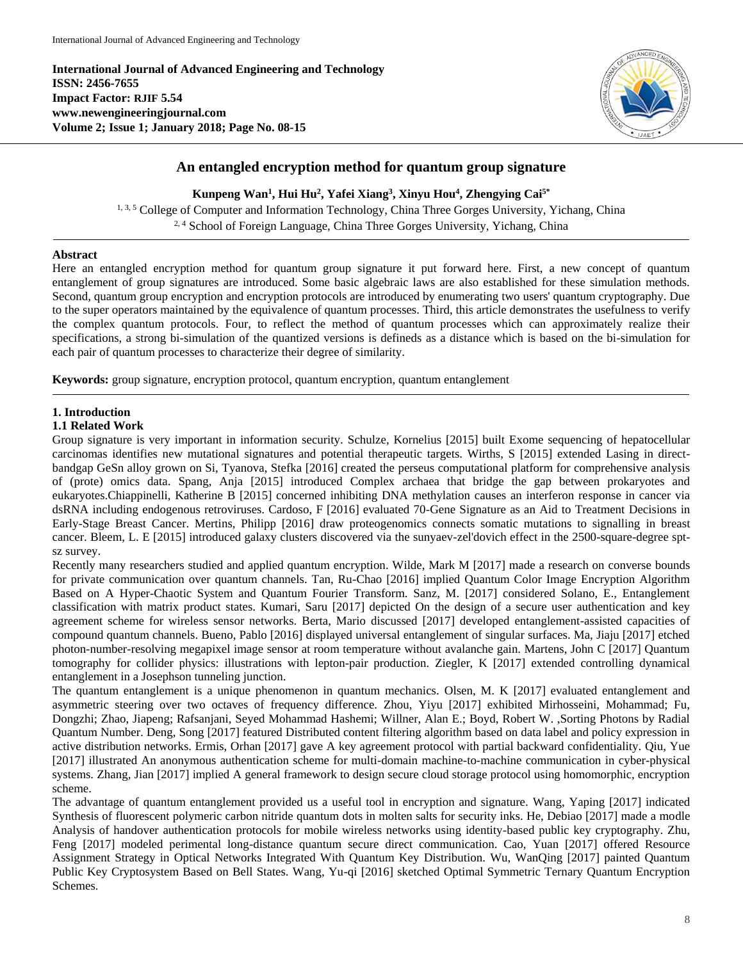**International Journal of Advanced Engineering and Technology ISSN: 2456-7655 Impact Factor: RJIF 5.54 www.newengineeringjournal.com Volume 2; Issue 1; January 2018; Page No. 08-15**



# **An entangled encryption method for quantum group signature**

**Kunpeng Wan<sup>1</sup> , Hui Hu<sup>2</sup> , Yafei Xiang<sup>3</sup> , Xinyu Hou<sup>4</sup> , Zhengying Cai5\***

<sup>1, 3, 5</sup> College of Computer and Information Technology, China Three Gorges University, Yichang, China <sup>2, 4</sup> School of Foreign Language, China Three Gorges University, Yichang, China

## **Abstract**

Here an entangled encryption method for quantum group signature it put forward here. First, a new concept of quantum entanglement of group signatures are introduced. Some basic algebraic laws are also established for these simulation methods. Second, quantum group encryption and encryption protocols are introduced by enumerating two users' quantum cryptography. Due to the super operators maintained by the equivalence of quantum processes. Third, this article demonstrates the usefulness to verify the complex quantum protocols. Four, to reflect the method of quantum processes which can approximately realize their specifications, a strong bi-simulation of the quantized versions is defineds as a distance which is based on the bi-simulation for each pair of quantum processes to characterize their degree of similarity.

**Keywords:** group signature, encryption protocol, quantum encryption, quantum entanglement

## **1. Introduction**

## **1.1 Related Work**

Group signature is very important in information security. Schulze, Kornelius [2015] built Exome sequencing of hepatocellular carcinomas identifies new mutational signatures and potential therapeutic targets. Wirths, S [2015] extended Lasing in directbandgap GeSn alloy grown on Si, Tyanova, Stefka [2016] created the perseus computational platform for comprehensive analysis of (prote) omics data. Spang, Anja [2015] introduced Complex archaea that bridge the gap between prokaryotes and eukaryotes.Chiappinelli, Katherine B [2015] concerned inhibiting DNA methylation causes an interferon response in cancer via dsRNA including endogenous retroviruses. Cardoso, F [2016] evaluated 70-Gene Signature as an Aid to Treatment Decisions in Early-Stage Breast Cancer. Mertins, Philipp [2016] draw proteogenomics connects somatic mutations to signalling in breast cancer. Bleem, L. E [2015] introduced galaxy clusters discovered via the sunyaev-zel'dovich effect in the 2500-square-degree sptsz survey.

Recently many researchers studied and applied quantum encryption. Wilde, Mark M [2017] made a research on converse bounds for private communication over quantum channels. Tan, Ru-Chao [2016] implied Quantum Color Image Encryption Algorithm Based on A Hyper-Chaotic System and Quantum Fourier Transform. Sanz, M. [2017] considered Solano, E., Entanglement classification with matrix product states. Kumari, Saru [2017] depicted On the design of a secure user authentication and key agreement scheme for wireless sensor networks. Berta, Mario discussed [2017] developed entanglement-assisted capacities of compound quantum channels. Bueno, Pablo [2016] displayed universal entanglement of singular surfaces. Ma, Jiaju [2017] etched photon-number-resolving megapixel image sensor at room temperature without avalanche gain. Martens, John C [2017] Quantum tomography for collider physics: illustrations with lepton-pair production. Ziegler, K [2017] extended controlling dynamical entanglement in a Josephson tunneling junction.

The quantum entanglement is a unique phenomenon in quantum mechanics. Olsen, M. K [2017] evaluated entanglement and asymmetric steering over two octaves of frequency difference. Zhou, Yiyu [2017] exhibited Mirhosseini, Mohammad; Fu, Dongzhi; Zhao, Jiapeng; Rafsanjani, Seyed Mohammad Hashemi; Willner, Alan E.; Boyd, Robert W. ,Sorting Photons by Radial Quantum Number. Deng, Song [2017] featured Distributed content filtering algorithm based on data label and policy expression in active distribution networks. Ermis, Orhan [2017] gave A key agreement protocol with partial backward confidentiality. Qiu, Yue [2017] illustrated An anonymous authentication scheme for multi-domain machine-to-machine communication in cyber-physical systems. Zhang, Jian [2017] implied A general framework to design secure cloud storage protocol using homomorphic, encryption scheme.

The advantage of quantum entanglement provided us a useful tool in encryption and signature. Wang, Yaping [2017] indicated Synthesis of fluorescent polymeric carbon nitride quantum dots in molten salts for security inks. He, Debiao [2017] made a modle Analysis of handover authentication protocols for mobile wireless networks using identity-based public key cryptography. Zhu, Feng [2017] modeled perimental long-distance quantum secure direct communication. Cao, Yuan [2017] offered Resource Assignment Strategy in Optical Networks Integrated With Quantum Key Distribution. Wu, WanQing [2017] painted Quantum Public Key Cryptosystem Based on Bell States. Wang, Yu-qi [2016] sketched Optimal Symmetric Ternary Quantum Encryption Schemes.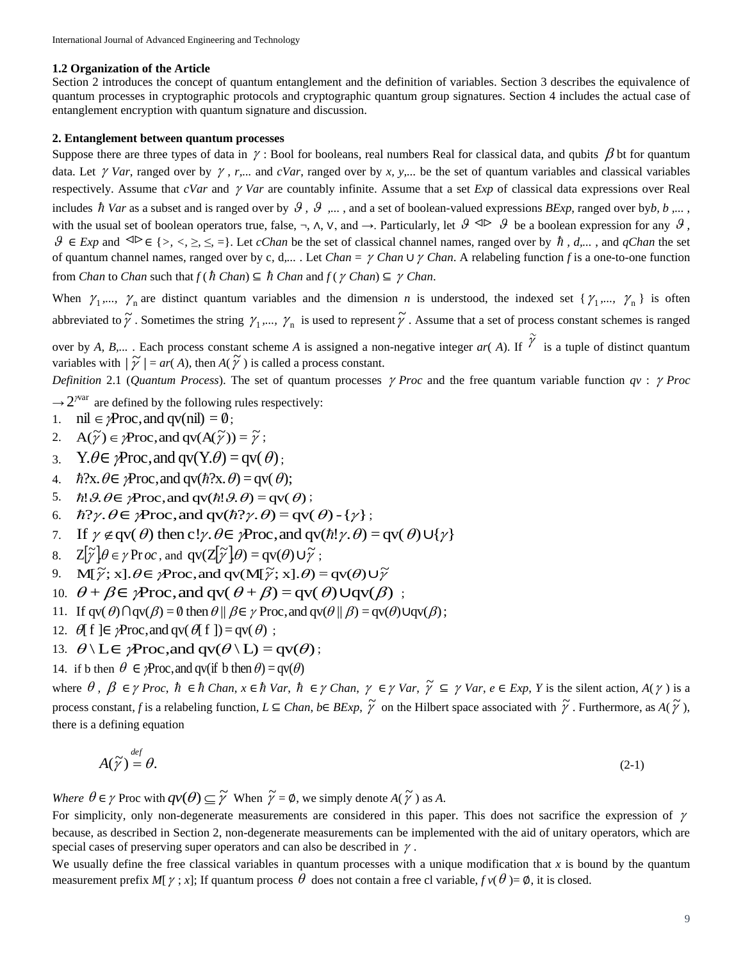#### **1.2 Organization of the Article**

Section 2 introduces the concept of quantum entanglement and the definition of variables. Section 3 describes the equivalence of quantum processes in cryptographic protocols and cryptographic quantum group signatures. Section 4 includes the actual case of entanglement encryption with quantum signature and discussion.

## **2. Entanglement between quantum processes**

Suppose there are three types of data in  $\gamma$ : Bool for booleans, real numbers Real for classical data, and qubits  $\beta$  bt for quantum data. Let  $\gamma$  Var, ranged over by  $\gamma$ , r,... and *cVar*, ranged over by x, y,... be the set of quantum variables and classical variables respectively. Assume that  $cVar$  and  $\gamma Var$  are countably infinite. Assume that a set *Exp* of classical data expressions over Real includes  $\hbar$  Var as a subset and is ranged over by  $\mathcal{G}, \mathcal{G}, \ldots$ , and a set of boolean-valued expressions *BExp*, ranged over by*b*,  $b, \ldots$ , with the usual set of boolean operators true, false,  $\neg$ ,  $\wedge$ ,  $\neg$ , and  $\rightarrow$ . Particularly, let  $\mathcal{G} \trianglelefteq \rightarrow \mathcal{G}$  be a boolean expression for any  $\mathcal{G}$ , *9* ∈ *Exp* and <sup>⊲</sup> $\triangleright$  ∈ {>, <, ≥, ≤, =}. Let *cChan* be the set of classical channel names, ranged over by  $\hbar$ , *d*,..., and *qChan* the set of quantum channel names, ranged over by c, d,... . Let *Chan* =  $\gamma$  *Chan*  $\cup$   $\gamma$  *Chan*. A relabeling function *f* is a one-to-one function from *Chan* to *Chan* such that  $f(h \text{ Chan}) \subseteq \hbar$  *Chan* and  $f(\gamma \text{ Chan}) \subseteq \gamma$  *Chan*.

When  $\gamma_1,..., \gamma_n$  are distinct quantum variables and the dimension *n* is understood, the indexed set  $\{\gamma_1,..., \gamma_n\}$  is often abbreviated to  $\tilde{\gamma}$ . Sometimes the string  $\gamma_1,..., \gamma_n$  is used to represent  $\tilde{\gamma}$ . Assume that a set of process constant schemes is ranged

over by *A*, *B*,... . Each process constant scheme *A* is assigned a non-negative integer  $ar(A)$ . If  $\widetilde{Y}$  is a tuple of distinct quantum variables with  $|\widetilde{\gamma}| = ar(A)$ , then  $A(\widetilde{\gamma})$  is called a process constant. |

*Definition 2.1 (Quantum Process).* The set of quantum processes  $\gamma$  *Proc* and the free quantum variable function  $qv$ :  $\gamma$  *Proc* 

 $\rightarrow$  2<sup>*Nar*</sup> are defined by the following rules respectively:

- 1.  $\text{nil} \in \mathcal{P}$ roc, and qv(nil) = 0;
- 2.  $A(\widetilde{\gamma}) \in \gamma Proc$ , and  $qv(A(\widetilde{\gamma})) = \widetilde{\gamma}$ ;
- 3.  $Y \mathcal{A} \in \mathcal{P}$  Proc, and  $qv(Y \mathcal{A}) = qv(\mathcal{A})$ ;
- 4.  $\hbar$ ?x.  $\theta \in \mathcal{P}$ roc, and qv( $\hbar$ ?x.  $\theta$ ) = qv( $\theta$ );
- 5.  $\hbar$ !  $\vartheta$ .  $\theta \in \gamma$ Proc, and qv( $\hbar$ !  $\vartheta$ .  $\theta$ ) = qv( $\theta$ );
- 6.  $\hbar$ ? $\gamma$ .  $\theta \in \gamma$ Proc, and qv( $\hbar$ ? $\gamma$ .  $\theta$ ) = qv( $\theta$ ) { $\gamma$ };
- 7. If  $\gamma \notin \text{qv}(\theta)$  then c! $\gamma \cdot \theta \in \gamma$ Proc, and  $\text{qv}(h! \gamma \cdot \theta) = \text{qv}(\theta) \cup \{\gamma\}$
- 8.  $\mathbb{Z}[\widetilde{\gamma}]\theta \in \gamma \operatorname{Proc}$ , and  $\operatorname{qv}(\mathbb{Z}[\widetilde{\gamma}]\theta) = \operatorname{qv}(\theta) \cup \widetilde{\gamma}$ ;
- 9.  $M[\tilde{\gamma}; x]. \theta \in \gamma Proc$ , and  $qv(M[\tilde{\gamma}; x]. \theta) = qv(\theta) \cup \tilde{\gamma}$
- 10.  $\theta + \beta \in \mathcal{P}$  Proc, and qv( $\theta + \beta$ ) = qv( $\theta$ ) Uqv( $\beta$ );
- 11. If  $qv(\theta)\bigcap qv(\beta) = \emptyset$  then  $\theta \parallel \beta \in \gamma$  Proc, and  $qv(\theta \parallel \beta) = qv(\theta)Uqv(\beta)$ ;
- 12.  $\theta$ [ f ] $\in \mathcal{P}$ roc, and qv( $\theta$ [ f]) = qv( $\theta$ );
- 13.  $\theta \setminus L \in \mathcal{P}$ roc, and qv $(\theta \setminus L) = qv(\theta)$ ;
- 14. if b then  $\theta \in \mathcal{P}$  Proc, and qv(if b then  $\theta$ ) = qv( $\theta$ )

where  $\theta$ ,  $\beta \in \gamma$  Proc,  $\hbar \in \hbar$  Chan,  $x \in \hbar$  Var,  $\hbar \in \gamma$  Chan,  $\gamma \in \gamma$  Var,  $\tilde{\gamma} \subseteq \gamma$  Var,  $e \in Exp$ , Y is the silent action,  $A(\gamma)$  is a process constant, *f* is a relabeling function,  $L \subseteq Chan$ ,  $b \in BExp$ ,  $\widetilde{\gamma}$  on the Hilbert space associated with  $\widetilde{\gamma}$ . Furthermore, as  $A(\widetilde{\gamma})$ , there is a defining equation

$$
A(\widetilde{\gamma}) = \theta. \tag{2-1}
$$

*Where*  $\theta \in \gamma$  Proc with  $qv(\theta) \subseteq \widetilde{\gamma}$  When  $\widetilde{\gamma} = \emptyset$ , we simply denote  $A(\widetilde{\gamma})$  as A.

For simplicity, only non-degenerate measurements are considered in this paper. This does not sacrifice the expression of  $\gamma$ because, as described in Section 2, non-degenerate measurements can be implemented with the aid of unitary operators, which are special cases of preserving super operators and can also be described in  $\gamma$ .

We usually define the free classical variables in quantum processes with a unique modification that  $x$  is bound by the quantum measurement prefix *M*[ $\gamma$ ; *x*]; If quantum process  $\theta$  does not contain a free cl variable,  $f$   $v(\theta) = \phi$ , it is closed.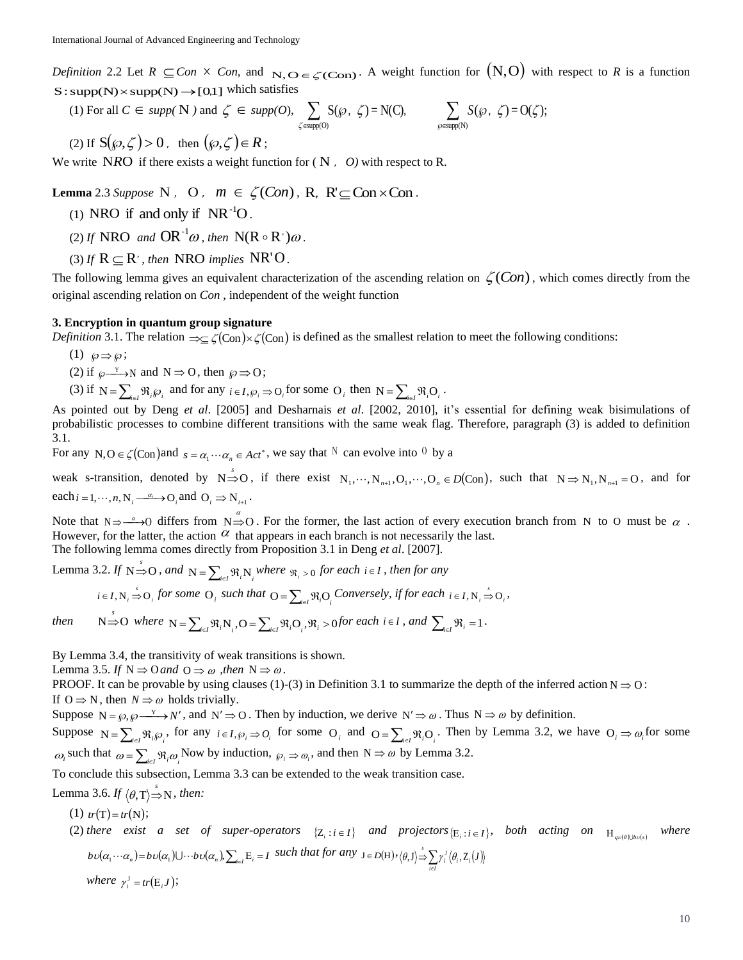*Definition* 2.2 Let  $R \subseteq Con \times Con$ , and  $N, O \in \mathcal{L}(Con)$ . A weight function for  $(N, O)$  with respect to R is a function  $S: supp(N) \times supp(N) \rightarrow [0,1]$  which satisfies

(1) For all  $C \in supp(N)$  and  $\zeta \in supp(O), \sum S(\wp, \zeta) = N(C), \sum S(\wp, \zeta) = O(\zeta);$  $\omega(\Theta)$  supp(O)  $\zeta$ ) = N(C),  $\qquad \qquad$   $\sum S(\wp, \zeta) = O(\zeta)$ ζ  $\sum S(\wp, \zeta) = N(C), \sum S(\wp,$  $\epsilon$ supp $(O)$  and  $\wp$ *S*

(2) If  $S(\varphi,\zeta) > 0$ , then  $(\varphi,\zeta) \in R$ ;

We write NRO if there exists a weight function for  $(N, 0)$  with respect to R.

**Lemma** 2.3 *Suppose* N, O,  $m \in \zeta(Con)$ , R,  $R' \subseteq Con \times Con$ .

- (1) NRO if and only if  $NR^{-1}O$ .
- (2) If **NRO** and  $OR^{-1}\omega$ , then  $N(R \circ R')\omega$ .
- (3) If  $R \subseteq R'$ , then NRO implies NR'O.

The following lemma gives an equivalent characterization of the ascending relation on  $\zeta(Con)$ , which comes directly from the original ascending relation on *Con* , independent of the weight function

#### **3. Encryption in quantum group signature**

*Definition* 3.1. The relation  $\Rightarrow \subseteq \zeta(\text{Con}) \times \zeta(\text{Con})$  is defined as the smallest relation to meet the following conditions:

(1)  $\wp \Rightarrow \wp;$ 

(2) if 
$$
\wp \xrightarrow{Y} N
$$
 and  $N \Rightarrow O$ , then  $\wp \Rightarrow O$ ;

(3) if  $N = \sum_{i \in I} \Re_i \wp_i$  and for any  $i \in I$ ,  $\wp_i \Rightarrow O_i$  for some  $O_i$  then  $N = \sum_{i \in I} \Re_i O_i$ .

As pointed out by Deng *et al*. [2005] and Desharnais *et al*. [2002, 2010], it's essential for defining weak bisimulations of probabilistic processes to combine different transitions with the same weak flag. Therefore, paragraph (3) is added to definition 3.1.

For any N,  $O \in \mathcal{L}(\text{Con})$  and  $s = \alpha_1 \cdots \alpha_n \in Act^*$ , we say that  $N$  can evolve into  $0$  by a

weak s-transition, denoted by  $N \stackrel{s}{\Rightarrow} O$ , if there exist  $N_1, \dots, N_{n+1}, O_1, \dots, O_n \in D(\text{Con})$ , such that  $N \Rightarrow N_1, N_{n+1} = O$ , and for each  $i = 1, \dots, n$ ,  $N_i \xrightarrow{\alpha_i} O_i$  and  $O_i \Rightarrow N_{i+1}$ .

Note that  $N \Rightarrow \rightarrow 0$  differs from  $N \Rightarrow O$ . For the former, the last action of every execution branch from N to O must be  $\alpha$ . However, for the latter, the action  $\alpha$  that appears in each branch is not necessarily the last. The following lemma comes directly from Proposition 3.1 in Deng *et al*. [2007].

Lemma 3.2. *If*  $N \stackrel{\circ}{\Rightarrow} O$ , and  $N = \sum_{i \in I} \Re_i N_i$  where  $\Re_i > 0$  for each  $i \in I$ , then for any

$$
i \in I, N_i \Rightarrow O_i
$$
 for some  $O_i$  such that  $O = \sum_{i \in I} \Re_i O_i$  Conversely, if for each  $i \in I, N_i \Rightarrow O_i$ ,

then 
$$
N \stackrel{\circ}{\Rightarrow} O
$$
 where  $N = \sum_{i \in I} \Re_i N_i$ ,  $O = \sum_{i \in I} \Re_i O_i$ ,  $\Re_i > 0$  for each  $i \in I$ , and  $\sum_{i \in I} \Re_i = 1$ .

By Lemma 3.4, the transitivity of weak transitions is shown.

Lemma 3.5. If  $N \Rightarrow 0$  and  $0 \Rightarrow \omega$ , then  $N \Rightarrow \omega$ .

PROOF. It can be provable by using clauses (1)-(3) in Definition 3.1 to summarize the depth of the inferred action  $N \Rightarrow 0$ : If  $0 \Rightarrow N$ , then  $N \Rightarrow \omega$  holds trivially.

Suppose  $N = \wp, \wp \xrightarrow{Y} N'$ , and  $N' \Rightarrow O$ . Then by induction, we derive  $N' \Rightarrow \omega$ . Thus  $N \Rightarrow \omega$  by definition.

Suppose  $N = \sum_{i \in I} \Re_i \wp_i$ , for any  $i \in I, \wp_i \Rightarrow O_i$  for some  $O_i$  and  $O = \sum_{i \in I} \Re_i O_i$ . Then by Lemma 3.2, we have  $O_i \Rightarrow \omega_i$  for some  $\omega_i$  such that  $\omega = \sum_{i \in I} \Re_i \omega_i$  Now by induction,  $\omega_i \Rightarrow \omega_i$ , and then  $N \Rightarrow \omega$  by Lemma 3.2.

To conclude this subsection, Lemma 3.3 can be extended to the weak transition case.

Lemma 3.6. If  $\langle \theta, T \rangle \stackrel{s}{\Rightarrow} N$ , then:

(1)  $tr(T) = tr(N);$ (2) *there exist a set of super-operators*  $\{Z_i : i \in I\}$  *and projectors*  $\{E_i : i \in I\}$ , *both acting on*  $H_{\varphi \circ (\theta \cup b \circ (s))}$ *where*   $b\upsilon(\alpha_1\cdots\alpha_n)=b\upsilon(\alpha_1)\cup\cdots b\upsilon(\alpha_n)$ ,  $\sum_{i\in I}E_i=I$  such that for any  $J\in D(H)$ ,  $\langle\theta, J\rangle\stackrel{s}{\Rightarrow}\sum\gamma_i^J\langle\theta_i, Z_i(J)\rangle$ *i I*  $\left< \theta , \mathrm{J} \right> \stackrel{\text{\tiny{S}}}{\Rightarrow} \sum_{i \in I} \gamma_{i}^{J} \left< \theta_{i} , \mathrm{Z}_{i} \right>$ *where*  $\gamma_i^{\text{J}} = tr(E_i J)$ ;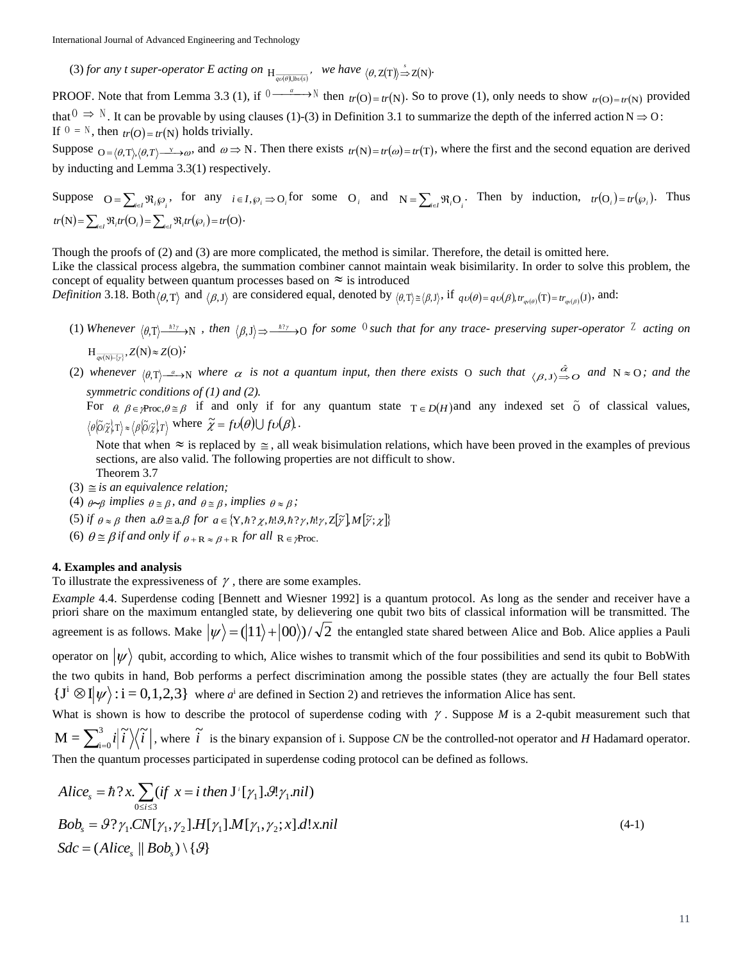(3) *for any t super-operator E acting on*  $H_{\overline{q\circ(\theta|\text{b}\circ\text{b}\circ\text{s})}}$ , we have  $\langle \theta, \mathsf{Z}(\mathsf{T}) \rangle \stackrel{s}{\Rightarrow} \mathsf{Z}(\mathsf{N})$ .

**PROOF.** Note that from Lemma 3.3 (1), if  $0 \rightarrow w \rightarrow N$  then  $tr(O) = tr(N)$ . So to prove (1), only needs to show  $tr(O) = tr(N)$  provided that  $0 \implies N$ . It can be provable by using clauses (1)-(3) in Definition 3.1 to summarize the depth of the inferred action  $N \implies 0$ : If  $0 = N$ , then  $tr(O) = tr(N)$  holds trivially.

Suppose  $_{\mathcal{O} = \langle \theta, \mathcal{T} \rangle, \langle \theta, \mathcal{T} \rangle}$  and  $\omega \Rightarrow \mathcal{N}$ . Then there exists  $_{tr}(\mathcal{N}) = tr(\omega) = tr(\mathcal{T})$ , where the first and the second equation are derived by inducting and Lemma 3.3(1) respectively.

Suppose 
$$
O = \sum_{i \in I} \Re_i \wp_i
$$
, for any  $i \in I$ ,  $\wp_i \Rightarrow O_i$  for some  $O_i$  and  $N = \sum_{i \in I} \Re_i O_i$ . Then by induction,  $tr(O_i) = tr(\wp_i)$ . Thus  $tr(N) = \sum_{i \in I} \Re_i tr(O_i) = \sum_{i \in I} \Re_i tr(\wp_i) = tr(O)$ .

Though the proofs of (2) and (3) are more complicated, the method is similar. Therefore, the detail is omitted here. Like the classical process algebra, the summation combiner cannot maintain weak bisimilarity. In order to solve this problem, the concept of equality between quantum processes based on  $\approx$  is introduced

*Definition* 3.18. Both  $\langle \theta, T \rangle$  and  $\langle \beta, J \rangle$  are considered equal, denoted by  $\langle \theta, T \rangle \ge \langle \beta, J \rangle$ , if  $q\upsilon(\theta) = q\upsilon(\beta)$ ,  $tr_{q\upsilon(\theta)}(T) = tr_{q\upsilon(\beta)}(J)$ , and:

- (1) Whenever  $\langle \theta, T \rangle \longrightarrow N$ , then  $\langle \beta, J \rangle \longrightarrow \longrightarrow N$  for some <sup>0</sup> such that for any trace- preserving super-operator <sup>Z</sup> acting on  $H_{\overline{qv(N)-\{y\}}}, Z(N) \approx Z(O)$
- (2) whenever  $\langle \theta, T \rangle \rightarrow N$  where  $\alpha$  is not a quantum input, then there exists O such that  $\langle \beta, J \rangle \rightarrow O$  and  $N \approx O$ ; and the *symmetric conditions of (1) and (2).*

For  $\theta$ ,  $\beta \in \mathcal{P}$  roc,  $\theta \cong \beta$  if and only if for any quantum state  $T \in D(H)$  and any indexed set  $\tilde{O}$  of classical values,  $\partial/\partial \phi(\tilde{\chi}) = \langle \beta | \partial/\partial \tilde{\chi} | T \rangle$  where  $\tilde{\chi} = f \nu(\theta) \cup f \nu(\beta)$ .

Note that when  $\approx$  is replaced by  $\approx$ , all weak bisimulation relations, which have been proved in the examples of previous sections, are also valid. The following properties are not difficult to show.

Theorem 3.7

- $(3) \equiv$  *is an equivalence relation*;
- (4)  $_{\theta \sim \beta}$  implies  $_{\theta \cong \beta}$ , and  $_{\theta \cong \beta}$ , implies  $_{\theta \approx \beta}$ ;

(5) *if*  $\theta \approx \beta$  then  $a.\theta \equiv a.\beta$  for  $a \in \{Y, \hbar ? \chi, \hbar ! 9, \hbar ? \gamma, \hbar ! \gamma, Z[\tilde{\gamma}], M[\tilde{\gamma}; \chi]\}$ 

(6)  $\theta \approx \beta$  if and only if  $_{\theta + \mathbf{R}} \approx \beta + \mathbf{R}$  for all  $\mathbf{R} \in \gamma$ Proc.

### **4. Examples and analysis**

To illustrate the expressiveness of  $\gamma$ , there are some examples.

*Example* 4.4. Superdense coding [Bennett and Wiesner 1992] is a quantum protocol. As long as the sender and receiver have a priori share on the maximum entangled state, by delievering one qubit two bits of classical information will be transmitted. The agreement is as follows. Make  $|\psi\rangle = (|11\rangle + |00\rangle)/\sqrt{2}$  the entangled state shared between Alice and Bob. Alice applies a Pauli operator on  $|\psi\rangle$  qubit, according to which, Alice wishes to transmit which of the four possibilities and send its qubit to BobWith the two qubits in hand, Bob performs a perfect discrimination among the possible states (they are actually the four Bell states  $\{J^i \otimes I | \psi\rangle : i = 0,1,2,3\}$  where  $a^i$  are defined in Section 2) and retrieves the information Alice has sent. What is shown is how to describe the protocol of superdense coding with  $\gamma$ . Suppose *M* is a 2-qubit measurement such that

 $\sum\nolimits_{\rm i=1}^{3}$ 3  $i = 0$  $M = \sum_{i}^{3} i \left| i \right| \left| \left\langle i \right| \right|$ , where  $\tilde{i}$  is the binary expansion of i. Suppose *CN* be the controlled-not operator and *H* Hadamard operator. Then the quantum processes participated in superdense coding protocol can be defined as follows.

$$
Alice_s = \hbar ?x. \sum_{0 \le i \le 3} (if \ x = i \ then \ J^{\dagger} [\gamma_1].\mathcal{Y}! \gamma_1.nil)
$$
  
\n
$$
Bob_s = \mathcal{Y} ? \gamma_1.CN[\gamma_1, \gamma_2].H[\gamma_1].M[\gamma_1, \gamma_2];x].d!x.nil
$$
  
\n
$$
Sdc = (Alice_s || Bob_s) \setminus \{\mathcal{Y}\}
$$
\n(4-1)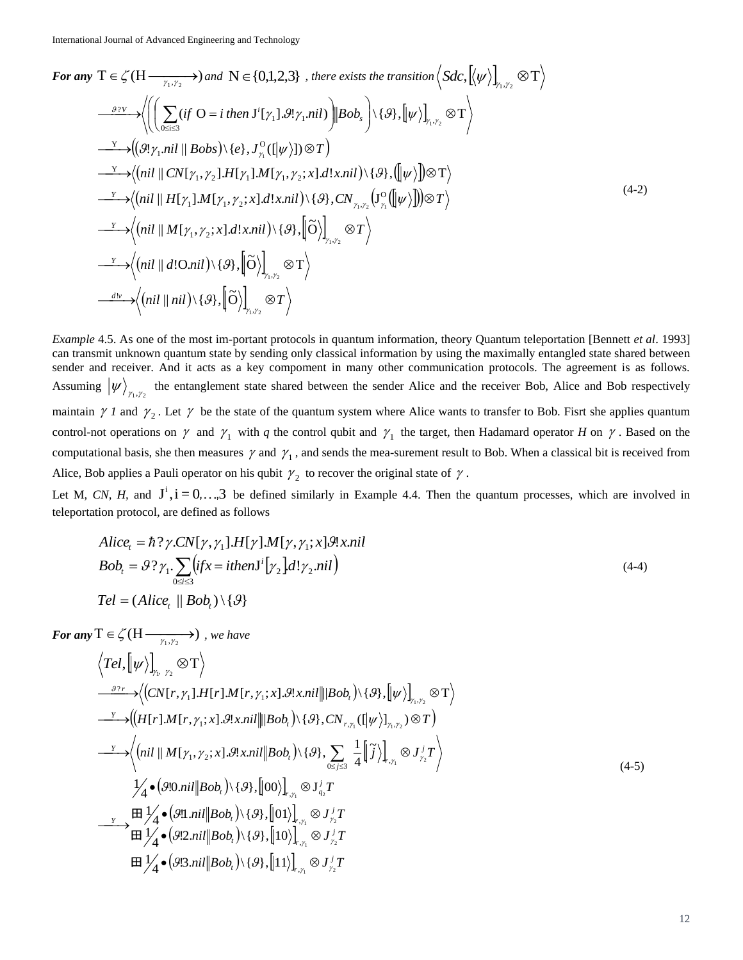For any 
$$
T \in \zeta(H \xrightarrow{\gamma_1, \gamma_2}
$$
) and  $N \in \{0,1,2,3\}$ , there exists the transition  $\langle Sdc, [\langle \psi \rangle]_{\gamma_1, \gamma_2} \otimes T \rangle$   
\n
$$
\xrightarrow{\beta \gamma \vee \rightarrow} \left\langle \left( \left( \sum_{0 \le i \le 3} (if \ O = i \ then \ J^i[\gamma_1].g_{\gamma_1.ni1}) \middle| Bob_s \right) \setminus \{\vartheta\}, [\psi] \right)_{\gamma_1, \gamma_2} \otimes T \right\rangle
$$
\n
$$
\xrightarrow{\gamma} \left\langle (\vartheta! \gamma_1.ni! \parallel Bobs) \setminus \{e\}, J^{\circ}_{\gamma_1}([\psi \rangle]) \otimes T \right\rangle
$$
\n
$$
\xrightarrow{\gamma} \left\langle \left( ni! \parallel CN[\gamma_1, \gamma_2].H[\gamma_1].M[\gamma_1, \gamma_2; x] \, d!x.ni! \right) \setminus \{\vartheta\}, ([\psi \rangle]) \otimes T \right\rangle
$$
\n
$$
\xrightarrow{\gamma} \left\langle \left( ni! \parallel H[\gamma_1].M[\gamma_1, \gamma_2; x] \, d!x.ni! \right) \setminus \{\vartheta\}, CN_{\gamma_1, \gamma_2} (J^{\circ}_{\gamma_1}([\psi \rangle])) \otimes T \right\rangle
$$
\n
$$
\xrightarrow{\gamma} \left\langle \left( ni! \parallel M[\gamma_1, \gamma_2; x] \, d!x.ni! \right) \setminus \{\vartheta\}, [\tilde{O} \rangle \right)_{\gamma_1, \gamma_2} \otimes T \right\rangle
$$
\n
$$
\xrightarrow{\gamma} \left\langle \left( ni! \parallel d!O.nil \right) \setminus \{\vartheta\}, [\tilde{O} \rangle \right)_{\gamma_1, \gamma_2} \otimes T \right\rangle
$$
\n
$$
\xrightarrow{d_{\mathcal{V}}} \left\langle \left( ni! \parallel ni! \right) \setminus \{\vartheta\}, [\tilde{O} \rangle \right)_{\gamma_1, \gamma_2} \otimes T \right\rangle
$$
\n
$$
\xrightarrow{d_{\mathcal{V}}} \left\langle \left( ni! \parallel ni! \right) \setminus \{\vartheta\}, [\tilde{O} \rangle \right)_{\gamma_1, \gamma_2} \otimes T \right
$$

*Example* 4.5. As one of the most im-portant protocols in quantum information, theory Quantum teleportation [Bennett *et al*. 1993] can transmit unknown quantum state by sending only classical information by using the maximally entangled state shared between sender and receiver. And it acts as a key compoment in many other communication protocols. The agreement is as follows. Assuming  $\ket{\psi}_{\gamma_1,\gamma_2}$  the entanglement state shared between the sender Alice and the receiver Bob, Alice and Bob respectively maintain  $\gamma I$  and  $\gamma_2$ . Let  $\gamma$  be the state of the quantum system where Alice wants to transfer to Bob. Fisrt she applies quantum control-not operations on  $\gamma$  and  $\gamma_1$  with *q* the control qubit and  $\gamma_1$  the target, then Hadamard operator *H* on  $\gamma$ . Based on the computational basis, she then measures  $\gamma$  and  $\gamma_1$ , and sends the mea-surement result to Bob. When a classical bit is received from Alice, Bob applies a Pauli operator on his qubit  $\gamma_2$  to recover the original state of  $\gamma$ .

Let M, CN, H, and  $J^i$ ,  $i = 0,...,3$  be defined similarly in Example 4.4. Then the quantum processes, which are involved in teleportation protocol, are defined as follows

$$
Alice_t = \hbar ? \gamma.CN[\gamma, \gamma_1].H[\gamma].M[\gamma, \gamma_1; x].g!x.nil
$$
  
\n
$$
Bob_t = \mathcal{G} ? \gamma_1. \sum_{0 \le t \le 3} (ifx = ithenJ^t[\gamma_2].d! \gamma_2.nil)
$$
  
\n
$$
Tel = (Alice_t || Bob_t) \setminus \{\mathcal{G}\}
$$
 (4-4)

For any 
$$
T \in \mathcal{L}(H \xrightarrow{\gamma_1, \gamma_2} \mathcal{D})
$$
, we have  
\n
$$
\langle Tel, [\psi \rangle]_{\gamma_1, \gamma_2} \otimes T \rangle
$$
\n
$$
\xrightarrow{\beta \gamma_r} \langle (CN[r, \gamma_1].H[r].M[r, \gamma_1; x].\mathcal{G}!x.nil \parallel |Bob_1 \rangle \setminus \{\beta\}, [\psi \rangle]_{\gamma_1, \gamma_2} \otimes T \rangle
$$
\n
$$
\xrightarrow{\gamma_r} \langle (H[r].M[r, \gamma_1; x].\mathcal{G}!x.nil \parallel |Bob_1 \rangle \setminus \{\beta\}, CN_{r, \gamma_1}([\psi \rangle]_{\gamma_1, \gamma_2}) \otimes T \rangle
$$
\n
$$
\xrightarrow{\gamma_r} \langle (ni \parallel M[r_1, \gamma_2; x].\mathcal{G}!x.nil \parallel Bob_1 \rangle \setminus \{\beta\}, \sum_{0 \le j \le 3} \frac{1}{4} [\tilde{j} \rangle]_{r, \gamma_1} \otimes J_{\gamma_2}^j T \rangle
$$
\n
$$
\downarrow \qquad \qquad \downarrow \qquad (90.nil \parallel Bob_1 \rangle \setminus \{\beta\}, [00 \rangle]_{r, \gamma_1} \otimes J_{\gamma_2}^j T
$$
\n
$$
\xrightarrow{\gamma_r} \boxplus J'_{\mathcal{A}} \bullet (90.nil \parallel Bob_1 \rangle \setminus \{\beta\}, [01)]_{r, \gamma_1} \otimes J_{\gamma_2}^j T
$$
\n
$$
\boxplus J'_{\mathcal{A}} \bullet (92.nil \parallel Bob_1 \rangle \setminus \{\beta\}, [10)]_{r, \gamma_1} \otimes J_{\gamma_2}^j T
$$
\n
$$
\boxplus J'_{\mathcal{A}} \bullet (93.nil \parallel Bob_1 \rangle \setminus \{\beta\}, [11)]_{r, \gamma_1} \otimes J_{\gamma_2}^j T
$$
\n
$$
\boxplus J'_{\mathcal{A}} \bullet (93.nil \parallel Bob_1 \rangle \setminus \{\beta\}, [11)]_{r, \gamma_1} \otimes J_{\gamma_2}^j T
$$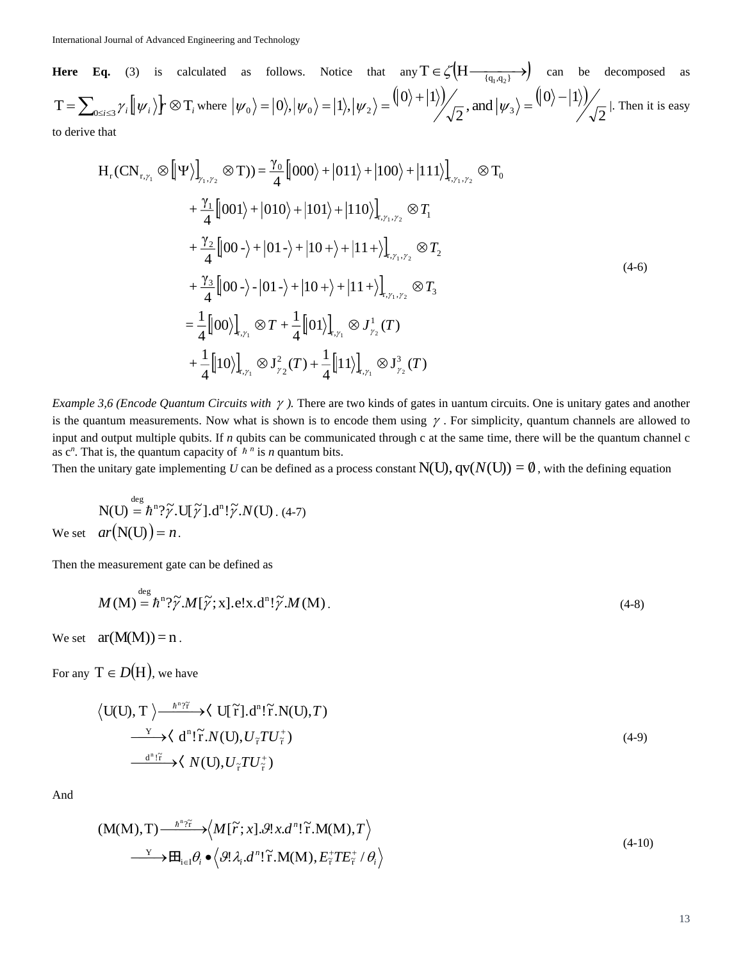**Here Eq.** (3) is calculated as follows. Notice that any  $T \in \mathcal{L}(H \longrightarrow \frac{q_1, q_2}{q_1, q_2})$  can be decomposed as  $T = \sum_{0 \le i \le 3} \gamma_i \left[ \ket{\psi_i} \right] \sim \mathfrak{T}_i$  where  $\ket{\psi_0} = |0\rangle, \ket{\psi_0} = |1\rangle, \ket{\psi_2} = \frac{(|0\rangle + |1\rangle)}{\sqrt{2}}$ , and  $\ket{\psi_3} = \frac{(|0\rangle - |1\rangle)}{\sqrt{2}}$ 2  $\frac{1}{2}$ , and  $|\psi_3\rangle = \frac{(|0\rangle - |1\rangle)}{2}$  $\langle 0 \rangle = |0 \rangle, |\psi_0 \rangle = |1 \rangle, |\psi_2 \rangle = |0 \rangle + |1 \rangle / \sqrt{2}$ , and  $|\psi_3 \rangle$  $=$   $\sqrt{v/}$  $|\psi_0\rangle = |0\rangle, |\psi_0\rangle = |1\rangle, |\psi_2\rangle = |0\rangle + |1\rangle$ //  $\Rightarrow$  and  $|\psi_3\rangle = |0\rangle - |1\rangle$ //  $\Rightarrow$  l. Then it is easy to derive that

$$
H_{r}(CN_{r,\gamma_{1}} \otimes [\Psi \rangle)_{\gamma_{1},\gamma_{2}} (\otimes T)) = \frac{\gamma_{0}}{4} [000\rangle + |011\rangle + |100\rangle + |111\rangle]_{r,\gamma_{1},\gamma_{2}} (\otimes T_{0} \n+ \frac{\gamma_{1}}{4} [001\rangle + |010\rangle + |101\rangle + |110\rangle)_{r,\gamma_{1},\gamma_{2}} (\otimes T_{1} \n+ \frac{\gamma_{2}}{4} [00 - \rangle + |01 - \rangle + |10 + \rangle + |11 + \rangle]_{r,\gamma_{1},\gamma_{2}} (\otimes T_{2} \n+ \frac{\gamma_{3}}{4} [00 - \rangle - |01 - \rangle + |10 + \rangle + |11 + \rangle]_{r,\gamma_{1},\gamma_{2}} (\otimes T_{3} \n= \frac{1}{4} [00\rangle]_{r,\gamma_{1}} (\otimes T + \frac{1}{4} [01\rangle]_{r,\gamma_{1}} (\otimes J_{\gamma_{2}}^{1}(T) \n+ \frac{1}{4} [10\rangle]_{r,\gamma_{1}} (\otimes J_{\gamma_{2}}^{2}(T) + \frac{1}{4} [11\rangle]_{r,\gamma_{1}} (\otimes J_{\gamma_{2}}^{3}(T)
$$
\n(4-6)

*Example 3,6 (Encode Quantum Circuits with*  $\gamma$ *).* There are two kinds of gates in uantum circuits. One is unitary gates and another is the quantum measurements. Now what is shown is to encode them using  $\gamma$ . For simplicity, quantum channels are allowed to input and output multiple qubits. If *n* qubits can be communicated through c at the same time, there will be the quantum channel c as  $c^n$ . That is, the quantum capacity of  $h^n$  is *n* quantum bits.

Then the unitary gate implementing  $U$  can be defined as a process constant  $\rm N(U),$   $\rm qv$ ( $N(\rm U)) = \emptyset$  , with the defining equation

$$
N(U) = \hbar^{n}\gamma\tilde{\gamma}.U[\tilde{\gamma}].d^{n}!\tilde{\gamma}.N(U) . (4-7)
$$
  
We set  $ar(N(U)) = n$ .

Then the measurement gate can be defined as

$$
M(M) = \hbar^{n}\mathcal{V}\tilde{\mathcal{V}}.M[\tilde{\mathcal{V}};X].e!x.d^{n}!\tilde{\mathcal{V}}.M(M).
$$
\n(4-8)

We set  $ar(M(M))=n$ .

For any  $T \in D(H)$ , we have

$$
\langle U(U), T \rangle \xrightarrow{\hbar^n \gamma \tilde{\tau}} \langle U[\tilde{\tau}], d^n! \tilde{r}. N(U), T \rangle
$$
  
\n
$$
\xrightarrow{\gamma} \langle d^n! \tilde{r}. N(U), U_{\tilde{\tau}} T U_{\tilde{\tau}}^+ \rangle
$$
  
\n
$$
\xrightarrow{d^n! \tilde{\tau}} \langle N(U), U_{\tilde{\tau}} T U_{\tilde{\tau}}^+ \rangle
$$
 (4-9)

And

$$
(M(M), T) \longrightarrow^{h^{n}\gamma_{\overline{f}}}\longrightarrow \left\langle M[\tilde{r}; x].\mathcal{G}!x.d^{n}!\tilde{r}.M(M), T\right\rangle
$$
  
\n
$$
\longrightarrow \mathbb{H}_{i\in I}\theta_{i} \bullet \left\langle \mathcal{G}!\lambda_{i}.d^{n}!\tilde{r}.M(M), E_{\overline{r}}^{+}TE_{\overline{r}}^{+}/\theta_{i}\right\rangle
$$
\n(4-10)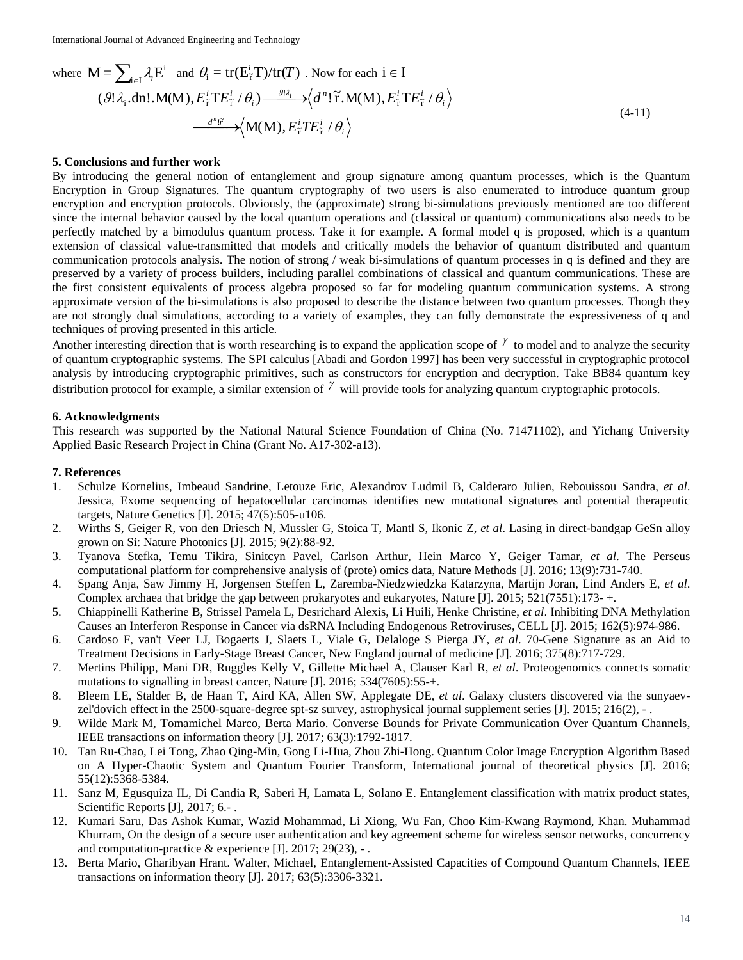where 
$$
\mathbf{M} = \sum_{i \in I} \lambda_i \mathbf{E}^i
$$
 and  $\theta_i = \text{tr}(\mathbf{E}^i_{\tilde{\tau}} \mathbf{T}) / \text{tr}(\mathbf{T})$ . Now for each  $i \in I$   
\n $(\mathcal{G}! \lambda_i \cdot \text{dn}! \cdot \mathbf{M}(\mathbf{M}), E^i_{\tilde{\tau}} \mathbf{T} E^i_{\tilde{\tau}} / \theta_i) \xrightarrow{\mathcal{J} \lambda_i} \langle d^n! \tilde{\tau} \cdot \mathbf{M}(\mathbf{M}), E^i_{\tilde{\tau}} \mathbf{T} E^i_{\tilde{\tau}} / \theta_i \rangle$   
\n $\xrightarrow{d^n \tilde{\tau}} \langle \mathbf{M}(\mathbf{M}), E^i_{\tilde{\tau}} \mathbf{T} E^i_{\tilde{\tau}} / \theta_i \rangle$  (4-11)

### **5. Conclusions and further work**

By introducing the general notion of entanglement and group signature among quantum processes, which is the Quantum Encryption in Group Signatures. The quantum cryptography of two users is also enumerated to introduce quantum group encryption and encryption protocols. Obviously, the (approximate) strong bi-simulations previously mentioned are too different since the internal behavior caused by the local quantum operations and (classical or quantum) communications also needs to be perfectly matched by a bimodulus quantum process. Take it for example. A formal model q is proposed, which is a quantum extension of classical value-transmitted that models and critically models the behavior of quantum distributed and quantum communication protocols analysis. The notion of strong / weak bi-simulations of quantum processes in q is defined and they are preserved by a variety of process builders, including parallel combinations of classical and quantum communications. These are the first consistent equivalents of process algebra proposed so far for modeling quantum communication systems. A strong approximate version of the bi-simulations is also proposed to describe the distance between two quantum processes. Though they are not strongly dual simulations, according to a variety of examples, they can fully demonstrate the expressiveness of q and techniques of proving presented in this article.

Another interesting direction that is worth researching is to expand the application scope of  $\gamma$  to model and to analyze the security of quantum cryptographic systems. The SPI calculus [Abadi and Gordon 1997] has been very successful in cryptographic protocol analysis by introducing cryptographic primitives, such as constructors for encryption and decryption. Take BB84 quantum key distribution protocol for example, a similar extension of  $\gamma$  will provide tools for analyzing quantum cryptographic protocols.

### **6. Acknowledgments**

This research was supported by the National Natural Science Foundation of China (No. 71471102), and Yichang University Applied Basic Research Project in China (Grant No. A17-302-a13).

## **7. References**

- 1. Schulze Kornelius, Imbeaud Sandrine, Letouze Eric, Alexandrov Ludmil B, Calderaro Julien, Rebouissou Sandra, *et al*. Jessica, Exome sequencing of hepatocellular carcinomas identifies new mutational signatures and potential therapeutic targets, Nature Genetics [J]. 2015; 47(5):505-u106.
- 2. Wirths S, Geiger R, von den Driesch N, Mussler G, Stoica T, Mantl S, Ikonic Z, *et al*. Lasing in direct-bandgap GeSn alloy grown on Si: Nature Photonics [J]. 2015; 9(2):88-92.
- 3. Tyanova Stefka, Temu Tikira, Sinitcyn Pavel, Carlson Arthur, Hein Marco Y, Geiger Tamar, *et al*. The Perseus computational platform for comprehensive analysis of (prote) omics data, Nature Methods [J]. 2016; 13(9):731-740.
- 4. Spang Anja, Saw Jimmy H, Jorgensen Steffen L, Zaremba-Niedzwiedzka Katarzyna, Martijn Joran, Lind Anders E, *et al*. Complex archaea that bridge the gap between prokaryotes and eukaryotes, Nature [J]. 2015; 521(7551):173- +.
- 5. Chiappinelli Katherine B, Strissel Pamela L, Desrichard Alexis, Li Huili, Henke Christine, *et al*. Inhibiting DNA Methylation Causes an Interferon Response in Cancer via dsRNA Including Endogenous Retroviruses, CELL [J]. 2015; 162(5):974-986.
- 6. Cardoso F, van't Veer LJ, Bogaerts J, Slaets L, Viale G, Delaloge S Pierga JY, *et al*. 70-Gene Signature as an Aid to Treatment Decisions in Early-Stage Breast Cancer, New England journal of medicine [J]. 2016; 375(8):717-729.
- 7. Mertins Philipp, Mani DR, Ruggles Kelly V, Gillette Michael A, Clauser Karl R, *et al*. Proteogenomics connects somatic mutations to signalling in breast cancer, Nature [J]. 2016; 534(7605):55-+.
- 8. Bleem LE, Stalder B, de Haan T, Aird KA, Allen SW, Applegate DE, *et al*. Galaxy clusters discovered via the sunyaevzel'dovich effect in the 2500-square-degree spt-sz survey, astrophysical journal supplement series [J]. 2015; 216(2), - .
- 9. Wilde Mark M, Tomamichel Marco, Berta Mario. Converse Bounds for Private Communication Over Quantum Channels, IEEE transactions on information theory [J]. 2017; 63(3):1792-1817.
- 10. Tan Ru-Chao, Lei Tong, Zhao Qing-Min, Gong Li-Hua, Zhou Zhi-Hong. Quantum Color Image Encryption Algorithm Based on A Hyper-Chaotic System and Quantum Fourier Transform, International journal of theoretical physics [J]. 2016; 55(12):5368-5384.
- 11. Sanz M, Egusquiza IL, Di Candia R, Saberi H, Lamata L, Solano E. Entanglement classification with matrix product states, Scientific Reports [J], 2017; 6.-.
- 12. Kumari Saru, Das Ashok Kumar, Wazid Mohammad, Li Xiong, Wu Fan, Choo Kim-Kwang Raymond, Khan. Muhammad Khurram, On the design of a secure user authentication and key agreement scheme for wireless sensor networks, concurrency and computation-practice & experience [J]. 2017; 29(23), - .
- 13. Berta Mario, Gharibyan Hrant. Walter, Michael, Entanglement-Assisted Capacities of Compound Quantum Channels, IEEE transactions on information theory [J]. 2017; 63(5):3306-3321.